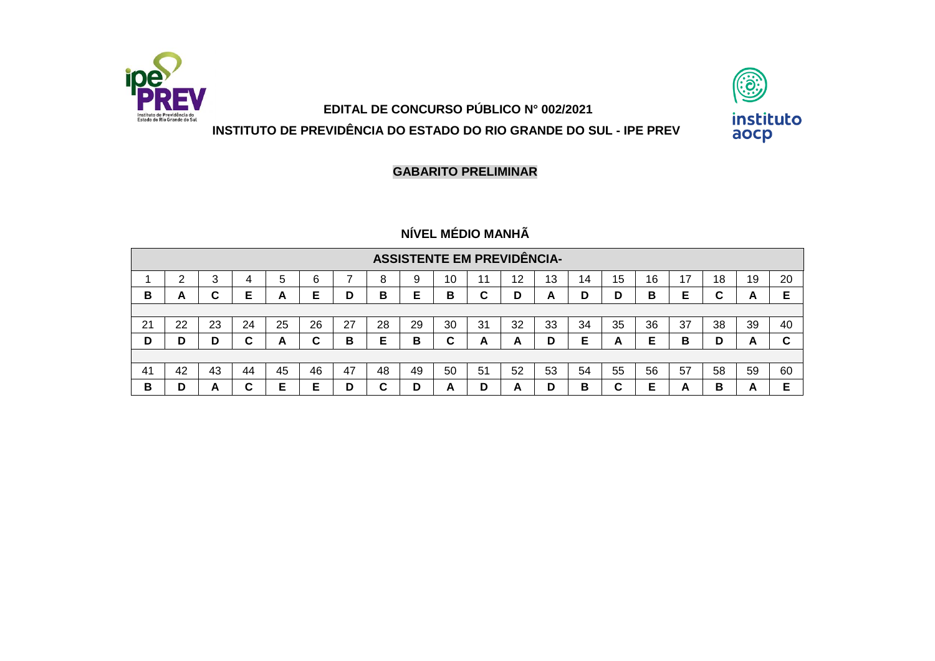

## **EDITAL DE CONCURSO PÚBLICO N° 002/2021 INSTITUTO DE PREVIDÊNCIA DO ESTADO DO RIO GRANDE DO SUL - IPE PREV**



**GABARITO PRELIMINAR**

## **NÍVEL MÉDIO MANHÃ**

|    |                                                                                                                |    |    |    |    |    |        | <b>ASSISTENTE EM PREVIDÊNCIA-</b> |        |    |    |    |    |    |    |    |    |    |        |
|----|----------------------------------------------------------------------------------------------------------------|----|----|----|----|----|--------|-----------------------------------|--------|----|----|----|----|----|----|----|----|----|--------|
|    | 15<br>16<br>19<br>20<br>6<br>8<br>13<br>18<br>10<br>12<br>14<br>b<br>4<br>~                                    |    |    |    |    |    |        |                                   |        |    |    |    |    |    |    |    |    |    |        |
| В  | A                                                                                                              |    | Е  | A  | Е  | D  | в      | Е                                 | в      | C  | D  | A  | D  | D  | B  | Е  | u  | A  | Е      |
|    |                                                                                                                |    |    |    |    |    |        |                                   |        |    |    |    |    |    |    |    |    |    |        |
| 21 | 28<br>35<br>26<br>27<br>29<br>32<br>36<br>37<br>25<br>30<br>33<br>34<br>39<br>22<br>38<br>23<br>24<br>31<br>40 |    |    |    |    |    |        |                                   |        |    |    |    |    |    |    |    |    |    |        |
| D  | D                                                                                                              | D  | C  | A  | C  | В  | Е      | в                                 | ⌒<br>u | A  | A  | D  | Е  | A  | Е  | в  | D  | A  | ⌒<br>ື |
|    |                                                                                                                |    |    |    |    |    |        |                                   |        |    |    |    |    |    |    |    |    |    |        |
| 41 | 42                                                                                                             | 43 | 44 | 45 | 46 | 47 | 48     | 49                                | 50     | 51 | 52 | 53 | 54 | 55 | 56 | 57 | 58 | 59 | 60     |
| в  | D                                                                                                              | A  | ⌒  | Е  | Е  | D  | ⌒<br>u | n                                 | A      | D  | −  | D  | в  | C  | Е  | A  | в  | A  | Е      |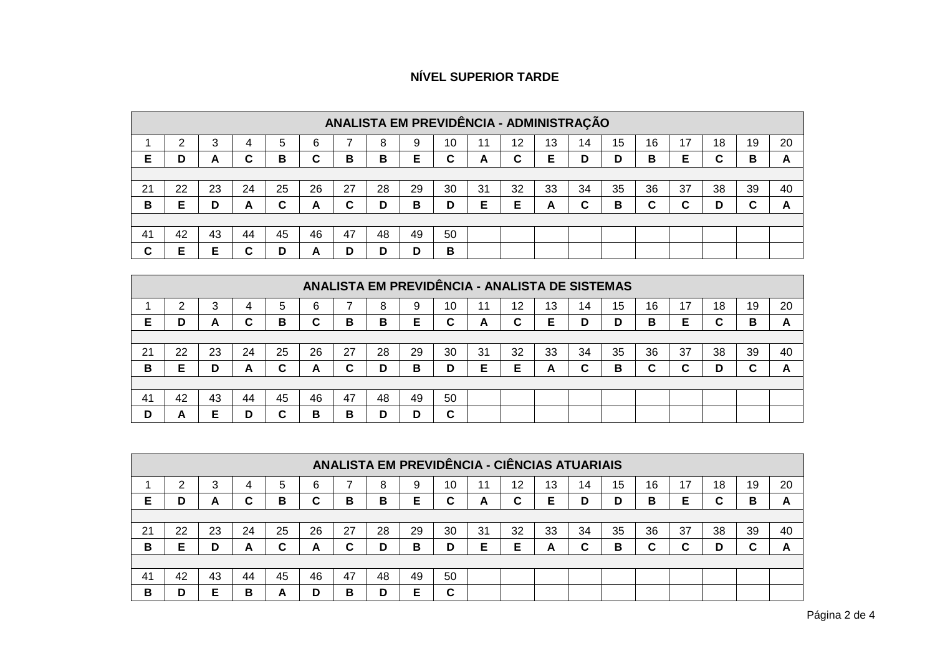## **NÍVEL SUPERIOR TARDE**

|     |                                                                                                                |    |    |    |    |    |    |    |    |    |    | ANALISTA EM PREVIDÊNCIA - ADMINISTRAÇÃO |    |    |    |    |    |    |    |
|-----|----------------------------------------------------------------------------------------------------------------|----|----|----|----|----|----|----|----|----|----|-----------------------------------------|----|----|----|----|----|----|----|
|     | ົ                                                                                                              | 3  |    | 5  | 6  |    | 8  | 9  | 10 | 11 | 12 | 13                                      | 14 | 15 | 16 | 17 | 18 | 19 | 20 |
| Е   | D                                                                                                              | A  | С  | B  | C  | в  | в  | Е  | C  | A  | C  | Е                                       | D  | D  | в  | Е  | C  | в  | A  |
|     |                                                                                                                |    |    |    |    |    |    |    |    |    |    |                                         |    |    |    |    |    |    |    |
| 21  | 28<br>35<br>25<br>26<br>27<br>32<br>36<br>23<br>29<br>30<br>33<br>34<br>37<br>38<br>39<br>40<br>22<br>24<br>31 |    |    |    |    |    |    |    |    |    |    |                                         |    |    |    |    |    |    |    |
| в   | E                                                                                                              | D  | A  | ⌒  | A  | C  | D  | B  | D  | Е  | Е  | A                                       | C  | в  | C  | C  | D  | ~  | A  |
|     |                                                                                                                |    |    |    |    |    |    |    |    |    |    |                                         |    |    |    |    |    |    |    |
| -41 | 42                                                                                                             | 43 | 44 | 45 | 46 | 47 | 48 | 49 | 50 |    |    |                                         |    |    |    |    |    |    |    |
| C   | E                                                                                                              |    | С  | D  | A  | D  | D  | D  | в  |    |    |                                         |    |    |    |    |    |    |    |

|     |                                                                                                                |        |    |        |    |    |    |    |        |    |    | ANALISTA EM PREVIDÊNCIA - ANALISTA DE SISTEMAS |    |    |    |   |    |    |    |
|-----|----------------------------------------------------------------------------------------------------------------|--------|----|--------|----|----|----|----|--------|----|----|------------------------------------------------|----|----|----|---|----|----|----|
|     | ⌒                                                                                                              | ◠<br>ື |    | 5      | 6  |    | 8  | 9  | 10     | 11 | 12 | 13                                             | 14 | 15 | 16 |   | 18 | 19 | 20 |
| E   | D                                                                                                              | A      | C  | в      | С  | в  | B  | Е  | С      | A  | С  | Е                                              | D  | D  | B  | Е | ⌒  | в  | A  |
|     |                                                                                                                |        |    |        |    |    |    |    |        |    |    |                                                |    |    |    |   |    |    |    |
| 21  | 35<br>26<br>25<br>27<br>28<br>30<br>33<br>36<br>38<br>40<br>22<br>23<br>29<br>31<br>32<br>37<br>39<br>24<br>34 |        |    |        |    |    |    |    |        |    |    |                                                |    |    |    |   |    |    |    |
| в   | Е                                                                                                              | D      | A  | C      | A  | C  | D  | в  | D      | Е  | Е  | A                                              | C  | в  | C  | C | D  |    | A  |
|     |                                                                                                                |        |    |        |    |    |    |    |        |    |    |                                                |    |    |    |   |    |    |    |
| -41 | 42                                                                                                             | 43     | 44 | 45     | 46 | 47 | 48 | 49 | 50     |    |    |                                                |    |    |    |   |    |    |    |
| D   | A                                                                                                              | Е      | D  | ⌒<br>u | в  | B  | D  | D  | ◠<br>u |    |    |                                                |    |    |    |   |    |    |    |

|    |    |         |    |    |    |    |    |    |    |    |    | ANALISTA EM PREVIDÊNCIA - CIÊNCIAS ATUARIAIS |    |    |    |    |    |    |    |
|----|----|---------|----|----|----|----|----|----|----|----|----|----------------------------------------------|----|----|----|----|----|----|----|
|    |    | ⌒<br>C. |    | 5  | 6  |    | 8  |    | 10 |    | 12 | 13                                           | 14 | 15 | 16 | 17 | 18 | 19 | 20 |
| Е  | D  | A       | ⌒  | B  | C  | B  | В  | Е  | С  | A  | C  | Е                                            | D  | D  | в  | Е  | ⌒  | в  | A  |
|    |    |         |    |    |    |    |    |    |    |    |    |                                              |    |    |    |    |    |    |    |
| 21 | 22 | 23      | 24 | 25 | 26 | 27 | 28 | 29 | 30 | 31 | 32 | 33                                           | 34 | 35 | 36 | 37 | 38 | 39 | 40 |
| В  | Е  | D       | А  | C  | A  | C  | D  | в  | D  | Е  | Е  | A                                            | C  | в  | C  | C  | D  |    | A  |
|    |    |         |    |    |    |    |    |    |    |    |    |                                              |    |    |    |    |    |    |    |
| 41 | 42 | 43      | 44 | 45 | 46 | 47 | 48 | 49 | 50 |    |    |                                              |    |    |    |    |    |    |    |
| в  | D  | Е       | в  | A  | D  | B  | D  | Е  | C  |    |    |                                              |    |    |    |    |    |    |    |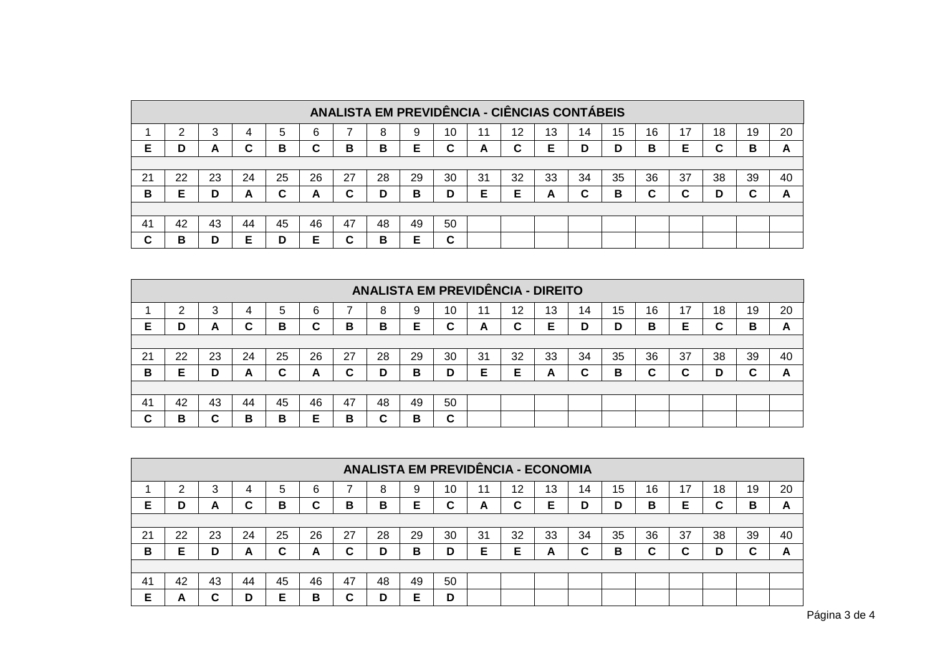|        |                                                                                                                |    |    |    |    |    |    |    |    |   |    | ANALISTA EM PREVIDÊNCIA - CIÊNCIAS CONTÁBEIS |    |    |    |    |    |    |    |
|--------|----------------------------------------------------------------------------------------------------------------|----|----|----|----|----|----|----|----|---|----|----------------------------------------------|----|----|----|----|----|----|----|
|        |                                                                                                                | ◠  | 4  | 5  | 6  |    | 8  | 9  | 10 |   | 12 | 13                                           | 14 | 15 | 16 | 17 | 18 | 19 | 20 |
| Е      | D                                                                                                              | A  | ⌒  | в  | C  | в  | в  | Е  | С  | A | ~  | E                                            | D  | D  | в  | Е  | C  | в  | A  |
|        |                                                                                                                |    |    |    |    |    |    |    |    |   |    |                                              |    |    |    |    |    |    |    |
| 21     | 35<br>28<br>25<br>26<br>27<br>29<br>33<br>34<br>36<br>37<br>38<br>22<br>23<br>30<br>31<br>32<br>39<br>40<br>24 |    |    |    |    |    |    |    |    |   |    |                                              |    |    |    |    |    |    |    |
| B      | Е                                                                                                              | D  | A  | C  | A  | C  | D  | в  | D  | Е | Е  | A                                            | C  | в  | C  | С  | D  | ~  | A  |
|        |                                                                                                                |    |    |    |    |    |    |    |    |   |    |                                              |    |    |    |    |    |    |    |
| 41     | 42                                                                                                             | 43 | 44 | 45 | 46 | 47 | 48 | 49 | 50 |   |    |                                              |    |    |    |    |    |    |    |
| ⌒<br>v | в                                                                                                              | D  |    | D  | Е  | С  | в  | E  | С  |   |    |                                              |    |    |    |    |    |    |    |

|    |                                                                                                                |    |    |    |    |    | <b>ANALISTA EM PREVIDÊNCIA - DIREITO</b> |    |             |   |        |    |    |    |    |    |    |    |    |
|----|----------------------------------------------------------------------------------------------------------------|----|----|----|----|----|------------------------------------------|----|-------------|---|--------|----|----|----|----|----|----|----|----|
|    |                                                                                                                | C. | 4  | 5  | 6  |    | 8                                        | 9  | 10          |   | 12     | 13 | 14 | 15 | 16 | 17 | 18 | 19 | 20 |
| E  | D                                                                                                              | A  | ⌒  | в  | C  | в  | в                                        | Е  | ◠           | A | r<br>u | Е  | D  | D  | в  | Е  | C  | в  | A  |
|    |                                                                                                                |    |    |    |    |    |                                          |    |             |   |        |    |    |    |    |    |    |    |    |
| 21 | 35<br>27<br>28<br>36<br>25<br>26<br>29<br>32<br>33<br>38<br>40<br>22<br>30<br>31<br>34<br>37<br>39<br>23<br>24 |    |    |    |    |    |                                          |    |             |   |        |    |    |    |    |    |    |    |    |
| в  | Е                                                                                                              | D  | A  | C  | A  | C  | D                                        | в  | D           | Е | Е      | A  | C  | B  | C  | C  | D  |    | A  |
|    |                                                                                                                |    |    |    |    |    |                                          |    |             |   |        |    |    |    |    |    |    |    |    |
| 41 | 42                                                                                                             | 43 | 44 | 45 | 46 | 47 | 48                                       | 49 | 50          |   |        |    |    |    |    |    |    |    |    |
| C  | в                                                                                                              | ⌒  | В  | в  | Е  | В  | C                                        | в  | $\sim$<br>u |   |        |    |    |    |    |    |    |    |    |

|    |                                                                                                                |        |    |    |    |    |    |    |    |   |        | ANALISTA EM PREVIDÊNCIA - ECONOMIA |    |    |    |    |    |    |    |
|----|----------------------------------------------------------------------------------------------------------------|--------|----|----|----|----|----|----|----|---|--------|------------------------------------|----|----|----|----|----|----|----|
|    | ⌒                                                                                                              | っ<br>J | 4  | 5  | 6  |    | 8  | 9  | 10 |   | 12     | 13                                 | 14 | 15 | 16 | 17 | 18 | 19 | 20 |
| E  | D                                                                                                              | A      | ⌒  | в  | C  | B  | B  | Е  | С  | A | ⌒<br>u | Е                                  | D  | D  | B  | Е  | C  | в  | A  |
|    |                                                                                                                |        |    |    |    |    |    |    |    |   |        |                                    |    |    |    |    |    |    |    |
| 21 | 35<br>26<br>27<br>28<br>33<br>34<br>36<br>37<br>22<br>25<br>29<br>30<br>32<br>38<br>39<br>40<br>23<br>24<br>31 |        |    |    |    |    |    |    |    |   |        |                                    |    |    |    |    |    |    |    |
| B  | Е                                                                                                              | D      | A  | C  | A  | C  | D  | в  | D  | Е | Е      | A                                  | C  | в  | C. | C  | D  | ⌒  | A  |
|    |                                                                                                                |        |    |    |    |    |    |    |    |   |        |                                    |    |    |    |    |    |    |    |
| 41 | 42                                                                                                             | 43     | 44 | 45 | 46 | 47 | 48 | 49 | 50 |   |        |                                    |    |    |    |    |    |    |    |
| E  | A                                                                                                              | ~<br>u | D  | E  | В  | C  | D  | Е  | D  |   |        |                                    |    |    |    |    |    |    |    |